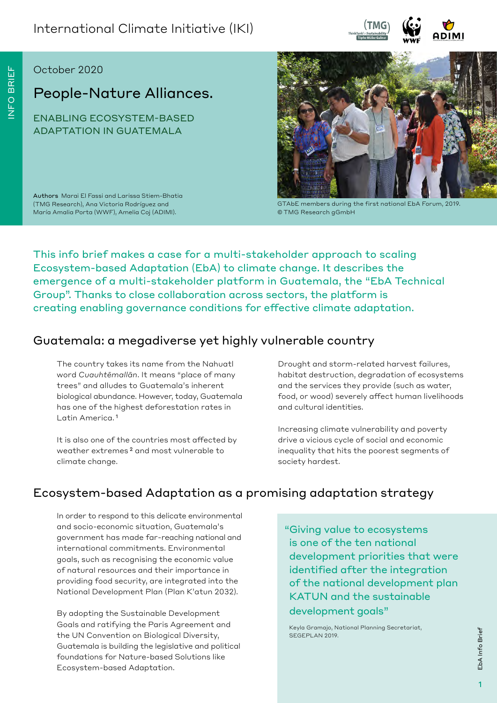

#### October 2020

# People-Nature Alliances.

ENABLING ECOSYSTEM-BASED ADAPTATION IN GUATEMALA

Authors Marai El Fassi and Larissa Stiem-Bhatia (TMG Research), Ana Victoria Rodríguez and María Amalia Porta (WWF), Amelia Coj (ADIMI).



GTAbE members during the first national EbA Forum, 2019. © TMG Research gGmbH

This info brief makes a case for a multi-stakeholder approach to scaling Ecosystem-based Adaptation (EbA) to climate change. It describes the emergence of a multi-stakeholder platform in Guatemala, the "EbA Technical Group". Thanks to close collaboration across sectors, the platform is creating enabling governance conditions for effective climate adaptation.

### Guatemala: a megadiverse yet highly vulnerable country

The country takes its name from the Nahuatl word *Cuauhtēmallān*. It means "place of many trees" and alludes to Guatemala's inherent biological abundance. However, today, Guatemala has one of the highest deforestation rates in Latin America. 1

It is also one of the countries most affected by weather extremes 2 and most vulnerable to climate change.

Drought and storm-related harvest failures, habitat destruction, degradation of ecosystems and the services they provide (such as water, food, or wood) severely affect human livelihoods and cultural identities.

Increasing climate vulnerability and poverty drive a vicious cycle of social and economic inequality that hits the poorest segments of society hardest. 

## Ecosystem-based Adaptation as a promising adaptation strategy

In order to respond to this delicate environmental and socio-economic situation, Guatemala's government has made far-reaching national and international commitments. Environmental goals, such as recognising the economic value of natural resources and their importance in providing food security, are integrated into the National Development Plan (Plan K'atun 2032).

By adopting the Sustainable Development Goals and ratifying the Paris Agreement and the UN Convention on Biological Diversity, Guatemala is building the legislative and political foundations for Nature-based Solutions like Ecosystem-based Adaptation.

 "Giving value to ecosystems is one of the ten national development priorities that were identified after the integration of the national development plan KATUN and the sustainable development goals"

Keyla Gramajo, National Planning Secretariat, SEGEPLAN 2019.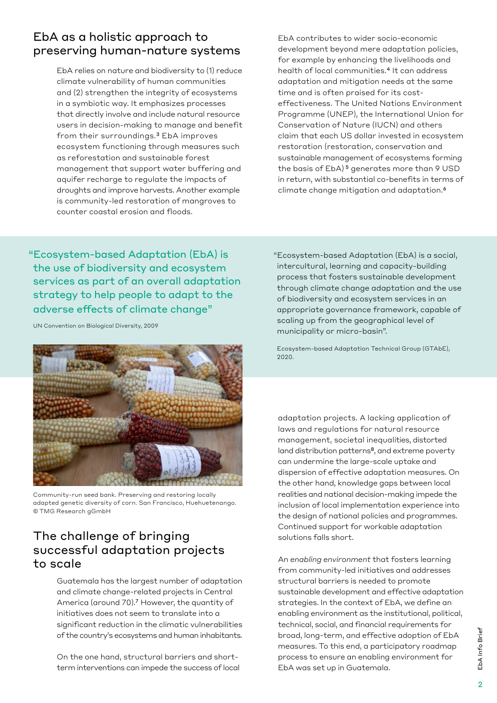### EbA as a holistic approach to preserving human-nature systems

EbA relies on nature and biodiversity to (1) reduce climate vulnerability of human communities and (2) strengthen the integrity of ecosystems in a symbiotic way. It emphasizes processes that directly involve and include natural resource users in decision-making to manage and benefit from their surroundings.3 EbA improves ecosystem functioning through measures such as reforestation and sustainable forest management that support water buffering and aquifer recharge to regulate the impacts of droughts and improve harvests. Another example is community-led restoration of mangroves to counter coastal erosion and floods.

EbA contributes to wider socio-economic development beyond mere adaptation policies, for example by enhancing the livelihoods and health of local communities.4 It can address adaptation and mitigation needs at the same time and is often praised for its costeffectiveness. The United Nations Environment Programme (UNEP), the International Union for Conservation of Nature (IUCN) and others claim that each US dollar invested in ecosystem restoration (restoration, conservation and sustainable management of ecosystems forming the basis of EbA) 5 generates more than 9 USD in return, with substantial co-benefits in terms of climate change mitigation and adaptation.6

 "Ecosystem-based Adaptation (EbA) is the use of biodiversity and ecosystem services as part of an overall adaptation strategy to help people to adapt to the adverse effects of climate change"

UN Convention on Biological Diversity, 2009



Community-run seed bank. Preserving and restoring locally adapted genetic diversity of corn. San Francisco, Huehuetenango. © TMG Research gGmbH

## The challenge of bringing successful adaptation projects to scale

Guatemala has the largest number of adaptation and climate change-related projects in Central America (around 70).7 However, the quantity of initiatives does not seem to translate into a significant reduction in the climatic vulnerabilities of the country's ecosystems and human inhabitants.

On the one hand, structural barriers and shortterm interventions can impede the success of local  "Ecosystem-based Adaptation (EbA) is a social, intercultural, learning and capacity-building process that fosters sustainable development through climate change adaptation and the use of biodiversity and ecosystem services in an appropriate governance framework, capable of scaling up from the geographical level of municipality or micro-basin".

 Ecosystem-based Adaptation Technical Group (GTAbE), 2020.

adaptation projects. A lacking application of laws and regulations for natural resource management, societal inequalities, distorted land distribution patterns<sup>8</sup>, and extreme poverty can undermine the large-scale uptake and dispersion of effective adaptation measures. On the other hand, knowledge gaps between local realities and national decision-making impede the inclusion of local implementation experience into the design of national policies and programmes. Continued support for workable adaptation solutions falls short.

An *enabling environment* that fosters learning from community-led initiatives and addresses structural barriers is needed to promote sustainable development and effective adaptation strategies. In the context of EbA, we define an enabling environment as the institutional, political, technical, social, and financial requirements for broad, long-term, and effective adoption of EbA measures. To this end, a participatory roadmap process to ensure an enabling environment for EbA was set up in Guatemala.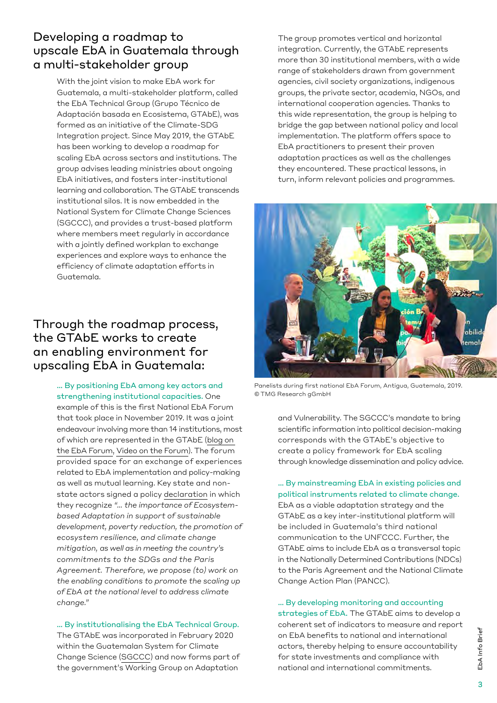### Developing a roadmap to upscale EbA in Guatemala through a multi-stakeholder group

With the joint vision to make EbA work for Guatemala, a multi-stakeholder platform, called the EbA Technical Group (Grupo Técnico de Adaptación basada en Ecosistema, GTAbE), was formed as an initiative of the Climate-SDG Integration project. Since May 2019, the GTAbE has been working to develop a roadmap for scaling EbA across sectors and institutions. The group advises leading ministries about ongoing EbA initiatives, and fosters inter-institutional learning and collaboration. The GTAbE transcends institutional silos. It is now embedded in the National System for Climate Change Sciences (SGCCC), and provides a trust-based platform where members meet regularly in accordance with a jointly defined workplan to exchange experiences and explore ways to enhance the efficiency of climate adaptation efforts in Guatemala.

### Through the roadmap process, the GTAbE works to create an enabling environment for upscaling EbA in Guatemala:

… By positioning EbA among key actors and strengthening institutional capacities. One example of this is the first National EbA Forum that took place in November 2019. It was a joint endeavour involving more than 14 institutions, most of which are represented in the GTAbE [\(blog on](https://medium.com/enabling-sustainability/guatemala-holds-its-first-national-forum-on-ecosystem-based-adaptation-93b4031ab40b)  [the EbA Forum](https://medium.com/enabling-sustainability/guatemala-holds-its-first-national-forum-on-ecosystem-based-adaptation-93b4031ab40b), [Video on the Forum\)](https://www.youtube.com/watch?v=yCkIDGqUH5s). The forum provided space for an exchange of experiences related to EbA implementation and policy-making as well as mutual learning. Key state and nonstate actors signed a policy [declaration](https://static1.squarespace.com/static/5aa6a1a19d5abb87c61a1225/t/5dfa207ce0f0ae6c75cdb54c/1576673449435/Decalracion+completa+firmada.pdf) in which they recognize *"… the importance of Ecosystembased Adaptation in support of sustainable development, poverty reduction, the promotion of ecosystem resilience, and climate change mitigation, as well as in meeting the country's commitments to the SDGs and the Paris Agreement. Therefore, we propose (to) work on the enabling conditions to promote the scaling up of EbA at the national level to address climate change."* 

… By institutionalising the EbA Technical Group. The GTAbE was incorporated in February 2020 within the Guatemalan System for Climate Change Science [\(SGCCC](https://sgccc.org.gt/)) and now forms part of the government's Working Group on Adaptation

The group promotes vertical and horizontal integration. Currently, the GTAbE represents more than 30 institutional members, with a wide range of stakeholders drawn from government agencies, civil society organizations, indigenous groups, the private sector, academia, NGOs, and international cooperation agencies. Thanks to this wide representation, the group is helping to bridge the gap between national policy and local implementation. The platform offers space to EbA practitioners to present their proven adaptation practices as well as the challenges they encountered. These practical lessons, in turn, inform relevant policies and programmes.



Panelists during first national EbA Forum, Antigua, Guatemala, 2019. © TMG Research gGmbH

and Vulnerability. The SGCCC's mandate to bring scientific information into political decision-making corresponds with the GTAbE's objective to create a policy framework for EbA scaling through knowledge dissemination and policy advice.

… By mainstreaming EbA in existing policies and political instruments related to climate change. EbA as a viable adaptation strategy and the GTAbE as a key inter-institutional platform will be included in Guatemala's third national communication to the UNFCCC. Further, the GTAbE aims to include EbA as a transversal topic in the Nationally Determined Contributions (NDCs) to the Paris Agreement and the National Climate Change Action Plan (PANCC).

… By developing monitoring and accounting strategies of EbA. The GTAbE aims to develop a coherent set of indicators to measure and report on EbA benefits to national and international actors, thereby helping to ensure accountability for state investments and compliance with national and international commitments.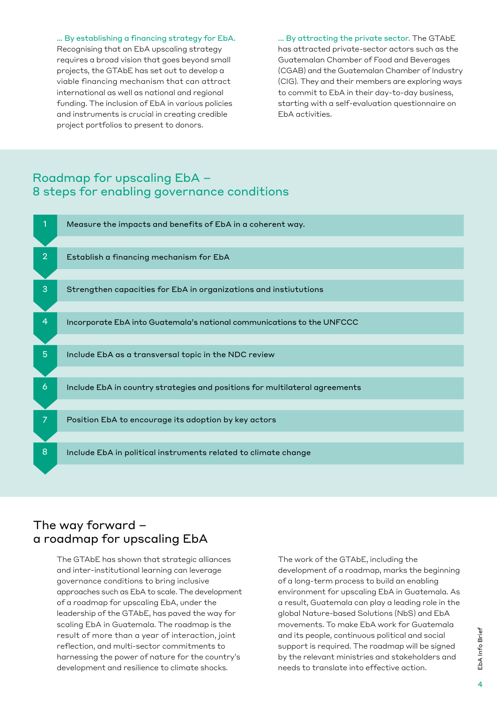… By establishing a financing strategy for EbA.

Recognising that an EbA upscaling strategy requires a broad vision that goes beyond small projects, the GTAbE has set out to develop a viable financing mechanism that can attract international as well as national and regional funding. The inclusion of EbA in various policies and instruments is crucial in creating credible project portfolios to present to donors.

... By attracting the private sector. The GTAbE has attracted private-sector actors such as the Guatemalan Chamber of Food and Beverages (CGAB) and the Guatemalan Chamber of Industry (CIG). They and their members are exploring ways to commit to EbA in their day-to-day business, starting with a self-evaluation questionnaire on EbA activities.

### Roadmap for upscaling EbA – 8 steps for enabling governance conditions



#### The way forward – a roadmap for upscaling EbA

The GTAbE has shown that strategic alliances and inter-institutional learning can leverage governance conditions to bring inclusive approaches such as EbA to scale. The development of a roadmap for upscaling EbA, under the leadership of the GTAbE, has paved the way for scaling EbA in Guatemala. The roadmap is the result of more than a year of interaction, joint reflection, and multi-sector commitments to harnessing the power of nature for the country's development and resilience to climate shocks.

The work of the GTAbE, including the development of a roadmap, marks the beginning of a long-term process to build an enabling environment for upscaling EbA in Guatemala. As a result, Guatemala can play a leading role in the global Nature-based Solutions (NbS) and EbA movements. To make EbA work for Guatemala and its people, continuous political and social support is required. The roadmap will be signed by the relevant ministries and stakeholders and needs to translate into effective action.